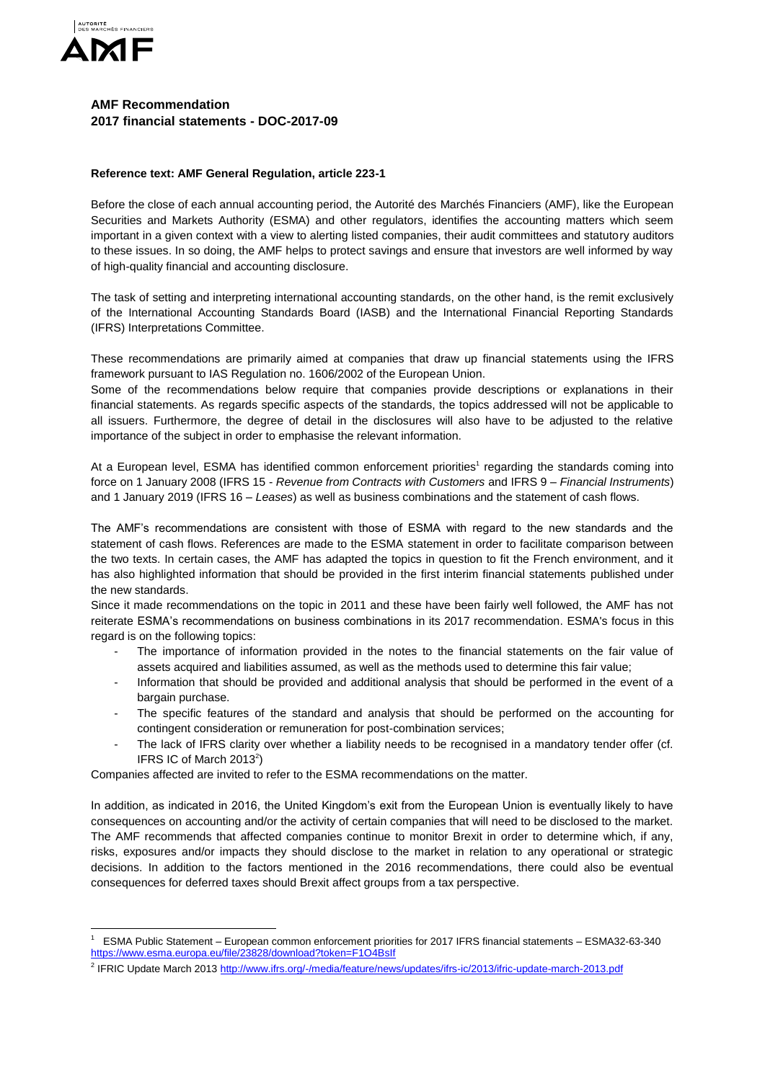

1

# **AMF Recommendation 2017 financial statements - DOC-2017-09**

## **Reference text: AMF General Regulation, article 223-1**

Before the close of each annual accounting period, the Autorité des Marchés Financiers (AMF), like the European Securities and Markets Authority (ESMA) and other regulators, identifies the accounting matters which seem important in a given context with a view to alerting listed companies, their audit committees and statutory auditors to these issues. In so doing, the AMF helps to protect savings and ensure that investors are well informed by way of high-quality financial and accounting disclosure.

The task of setting and interpreting international accounting standards, on the other hand, is the remit exclusively of the International Accounting Standards Board (IASB) and the International Financial Reporting Standards (IFRS) Interpretations Committee.

These recommendations are primarily aimed at companies that draw up financial statements using the IFRS framework pursuant to IAS Regulation no. 1606/2002 of the European Union.

Some of the recommendations below require that companies provide descriptions or explanations in their financial statements. As regards specific aspects of the standards, the topics addressed will not be applicable to all issuers. Furthermore, the degree of detail in the disclosures will also have to be adjusted to the relative importance of the subject in order to emphasise the relevant information.

At a European level, ESMA has identified common enforcement priorities<sup>1</sup> regarding the standards coming into force on 1 January 2008 (IFRS 15 - *Revenue from Contracts with Customers* and IFRS 9 – *Financial Instruments*) and 1 January 2019 (IFRS 16 – *Leases*) as well as business combinations and the statement of cash flows.

The AMF's recommendations are consistent with those of ESMA with regard to the new standards and the statement of cash flows. References are made to the ESMA statement in order to facilitate comparison between the two texts. In certain cases, the AMF has adapted the topics in question to fit the French environment, and it has also highlighted information that should be provided in the first interim financial statements published under the new standards.

Since it made recommendations on the topic in 2011 and these have been fairly well followed, the AMF has not reiterate ESMA's recommendations on business combinations in its 2017 recommendation. ESMA's focus in this regard is on the following topics:

- The importance of information provided in the notes to the financial statements on the fair value of assets acquired and liabilities assumed, as well as the methods used to determine this fair value;
- Information that should be provided and additional analysis that should be performed in the event of a bargain purchase.
- The specific features of the standard and analysis that should be performed on the accounting for contingent consideration or remuneration for post-combination services;
- The lack of IFRS clarity over whether a liability needs to be recognised in a mandatory tender offer (cf. IFRS IC of March  $2013<sup>2</sup>$ )

Companies affected are invited to refer to the ESMA recommendations on the matter.

In addition, as indicated in 2016, the United Kingdom's exit from the European Union is eventually likely to have consequences on accounting and/or the activity of certain companies that will need to be disclosed to the market. The AMF recommends that affected companies continue to monitor Brexit in order to determine which, if any, risks, exposures and/or impacts they should disclose to the market in relation to any operational or strategic decisions. In addition to the factors mentioned in the 2016 recommendations, there could also be eventual consequences for deferred taxes should Brexit affect groups from a tax perspective.

<sup>1</sup> ESMA Public Statement – European common enforcement priorities for 2017 IFRS financial statements – ESMA32-63-340 <https://www.esma.europa.eu/file/23828/download?token=F1O4BsIf>

<sup>&</sup>lt;sup>2</sup> IFRIC Update March 201[3 http://www.ifrs.org/-/media/feature/news/updates/ifrs-ic/2013/ifric-update-march-2013.pdf](http://www.ifrs.org/-/media/feature/news/updates/ifrs-ic/2013/ifric-update-march-2013.pdf)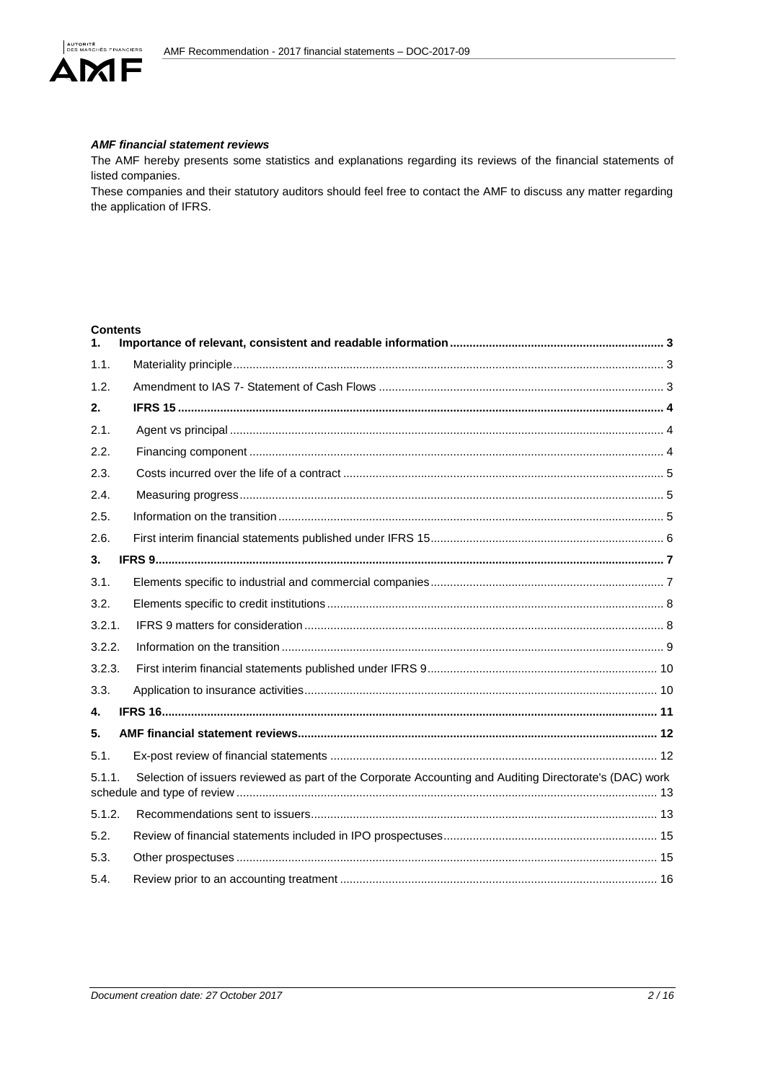

## *AMF financial statement reviews*

The AMF hereby presents some statistics and explanations regarding its reviews of the financial statements of listed companies.

These companies and their statutory auditors should feel free to contact the AMF to discuss any matter regarding the application of IFRS.

## **Contents**

| 1.     |                                                                                                         |  |
|--------|---------------------------------------------------------------------------------------------------------|--|
| 1.1.   |                                                                                                         |  |
| 1.2.   |                                                                                                         |  |
| 2.     |                                                                                                         |  |
| 2.1.   |                                                                                                         |  |
| 2.2.   |                                                                                                         |  |
| 2.3.   |                                                                                                         |  |
| 2.4.   |                                                                                                         |  |
| 2.5.   |                                                                                                         |  |
| 2.6.   |                                                                                                         |  |
| 3.     |                                                                                                         |  |
| 3.1.   |                                                                                                         |  |
| 3.2.   |                                                                                                         |  |
| 3.2.1. |                                                                                                         |  |
| 3.2.2. |                                                                                                         |  |
| 3.2.3. |                                                                                                         |  |
| 3.3.   |                                                                                                         |  |
| 4.     |                                                                                                         |  |
| 5.     |                                                                                                         |  |
| 5.1.   |                                                                                                         |  |
| 5.1.1. | Selection of issuers reviewed as part of the Corporate Accounting and Auditing Directorate's (DAC) work |  |
| 5.1.2. |                                                                                                         |  |
| 5.2.   |                                                                                                         |  |
| 5.3.   |                                                                                                         |  |
| 5.4.   |                                                                                                         |  |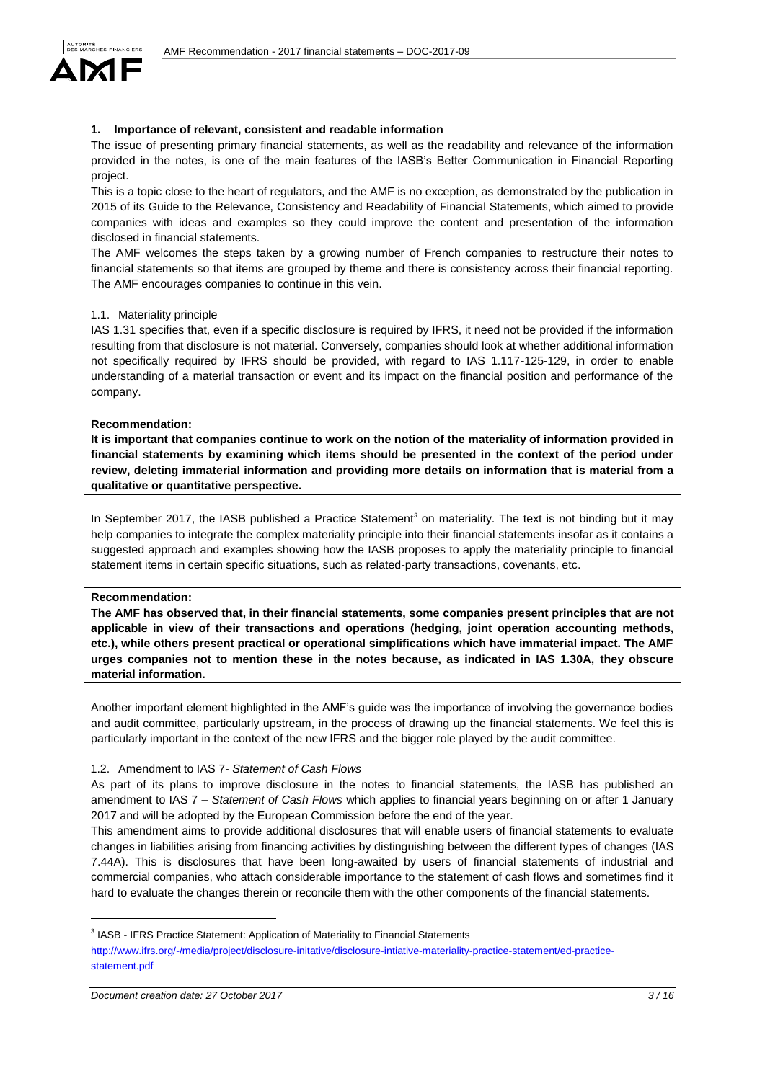

## <span id="page-2-0"></span>**1. Importance of relevant, consistent and readable information**

The issue of presenting primary financial statements, as well as the readability and relevance of the information provided in the notes, is one of the main features of the IASB's Better Communication in Financial Reporting project.

This is a topic close to the heart of regulators, and the AMF is no exception, as demonstrated by the publication in 2015 of its Guide to the Relevance, Consistency and Readability of Financial Statements, which aimed to provide companies with ideas and examples so they could improve the content and presentation of the information disclosed in financial statements.

The AMF welcomes the steps taken by a growing number of French companies to restructure their notes to financial statements so that items are grouped by theme and there is consistency across their financial reporting. The AMF encourages companies to continue in this vein.

### <span id="page-2-1"></span>1.1. Materiality principle

IAS 1.31 specifies that, even if a specific disclosure is required by IFRS, it need not be provided if the information resulting from that disclosure is not material. Conversely, companies should look at whether additional information not specifically required by IFRS should be provided, with regard to IAS 1.117-125-129, in order to enable understanding of a material transaction or event and its impact on the financial position and performance of the company.

#### **Recommendation:**

**It is important that companies continue to work on the notion of the materiality of information provided in financial statements by examining which items should be presented in the context of the period under review, deleting immaterial information and providing more details on information that is material from a qualitative or quantitative perspective.**

In September 2017, the IASB published a Practice Statement<sup>3</sup> on materiality. The text is not binding but it may help companies to integrate the complex materiality principle into their financial statements insofar as it contains a suggested approach and examples showing how the IASB proposes to apply the materiality principle to financial statement items in certain specific situations, such as related-party transactions, covenants, etc.

### **Recommendation:**

**The AMF has observed that, in their financial statements, some companies present principles that are not applicable in view of their transactions and operations (hedging, joint operation accounting methods, etc.), while others present practical or operational simplifications which have immaterial impact. The AMF urges companies not to mention these in the notes because, as indicated in IAS 1.30A, they obscure material information.** 

Another important element highlighted in the AMF's guide was the importance of involving the governance bodies and audit committee, particularly upstream, in the process of drawing up the financial statements. We feel this is particularly important in the context of the new IFRS and the bigger role played by the audit committee.

## <span id="page-2-2"></span>1.2. Amendment to IAS 7- *Statement of Cash Flows*

As part of its plans to improve disclosure in the notes to financial statements, the IASB has published an amendment to IAS 7 – *Statement of Cash Flows* which applies to financial years beginning on or after 1 January 2017 and will be adopted by the European Commission before the end of the year.

This amendment aims to provide additional disclosures that will enable users of financial statements to evaluate changes in liabilities arising from financing activities by distinguishing between the different types of changes (IAS 7.44A). This is disclosures that have been long-awaited by users of financial statements of industrial and commercial companies, who attach considerable importance to the statement of cash flows and sometimes find it hard to evaluate the changes therein or reconcile them with the other components of the financial statements.

**.** 

<sup>&</sup>lt;sup>3</sup> IASB - IFRS Practice Statement: Application of Materiality to Financial Statements [http://www.ifrs.org/-/media/project/disclosure-initative/disclosure-intiative-materiality-practice-statement/ed-practice](http://www.ifrs.org/-/media/project/disclosure-initative/disclosure-intiative-materiality-practice-statement/ed-practice-statement.pdf)statement.ndf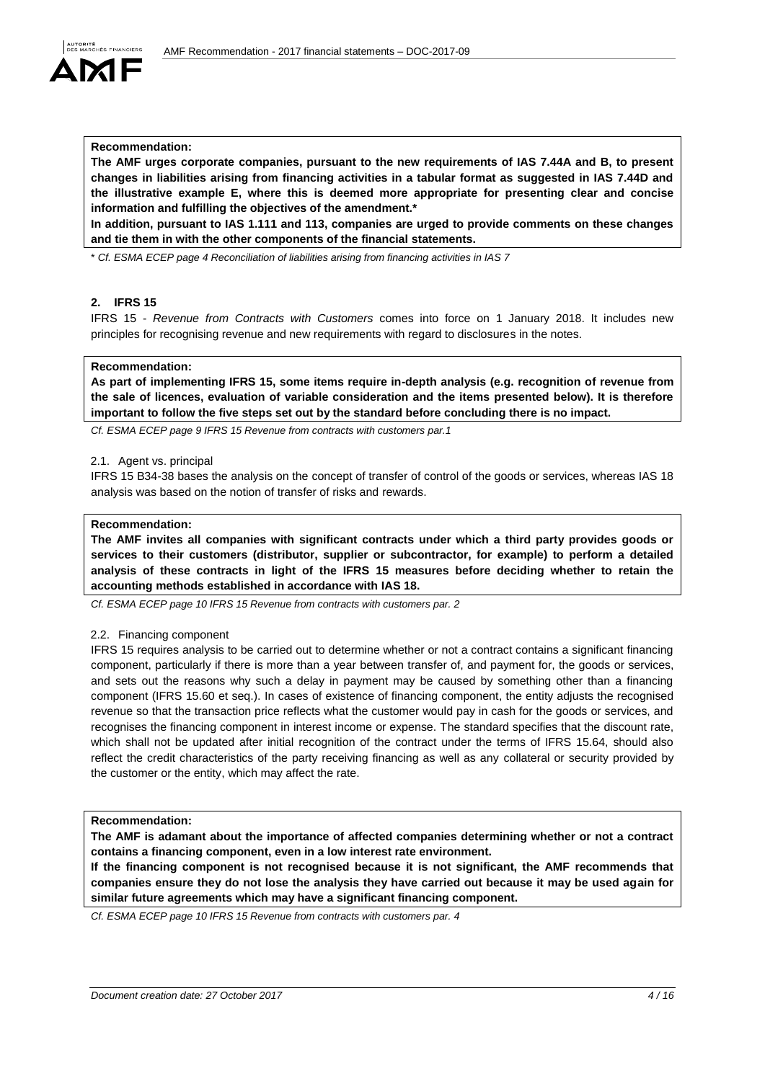### **Recommendation:**

**The AMF urges corporate companies, pursuant to the new requirements of IAS 7.44A and B, to present changes in liabilities arising from financing activities in a tabular format as suggested in IAS 7.44D and the illustrative example E, where this is deemed more appropriate for presenting clear and concise information and fulfilling the objectives of the amendment.\***

**In addition, pursuant to IAS 1.111 and 113, companies are urged to provide comments on these changes and tie them in with the other components of the financial statements.**

\* *Cf. ESMA ECEP page 4 Reconciliation of liabilities arising from financing activities in IAS 7* 

## <span id="page-3-0"></span>**2. IFRS 15**

IFRS 15 - *Revenue from Contracts with Customers* comes into force on 1 January 2018. It includes new principles for recognising revenue and new requirements with regard to disclosures in the notes.

#### **Recommendation:**

**As part of implementing IFRS 15, some items require in-depth analysis (e.g. recognition of revenue from the sale of licences, evaluation of variable consideration and the items presented below). It is therefore important to follow the five steps set out by the standard before concluding there is no impact.**

*Cf. ESMA ECEP page 9 IFRS 15 Revenue from contracts with customers par.1* 

#### <span id="page-3-1"></span>2.1. Agent vs. principal

IFRS 15 B34-38 bases the analysis on the concept of transfer of control of the goods or services, whereas IAS 18 analysis was based on the notion of transfer of risks and rewards.

### **Recommendation:**

**The AMF invites all companies with significant contracts under which a third party provides goods or services to their customers (distributor, supplier or subcontractor, for example) to perform a detailed analysis of these contracts in light of the IFRS 15 measures before deciding whether to retain the accounting methods established in accordance with IAS 18.**

*Cf. ESMA ECEP page 10 IFRS 15 Revenue from contracts with customers par. 2*

#### <span id="page-3-2"></span>2.2. Financing component

IFRS 15 requires analysis to be carried out to determine whether or not a contract contains a significant financing component, particularly if there is more than a year between transfer of, and payment for, the goods or services, and sets out the reasons why such a delay in payment may be caused by something other than a financing component (IFRS 15.60 et seq.). In cases of existence of financing component, the entity adjusts the recognised revenue so that the transaction price reflects what the customer would pay in cash for the goods or services, and recognises the financing component in interest income or expense. The standard specifies that the discount rate, which shall not be updated after initial recognition of the contract under the terms of IFRS 15.64, should also reflect the credit characteristics of the party receiving financing as well as any collateral or security provided by the customer or the entity, which may affect the rate.

#### **Recommendation:**

**The AMF is adamant about the importance of affected companies determining whether or not a contract contains a financing component, even in a low interest rate environment.**

**If the financing component is not recognised because it is not significant, the AMF recommends that companies ensure they do not lose the analysis they have carried out because it may be used again for similar future agreements which may have a significant financing component.** 

*Cf. ESMA ECEP page 10 IFRS 15 Revenue from contracts with customers par. 4*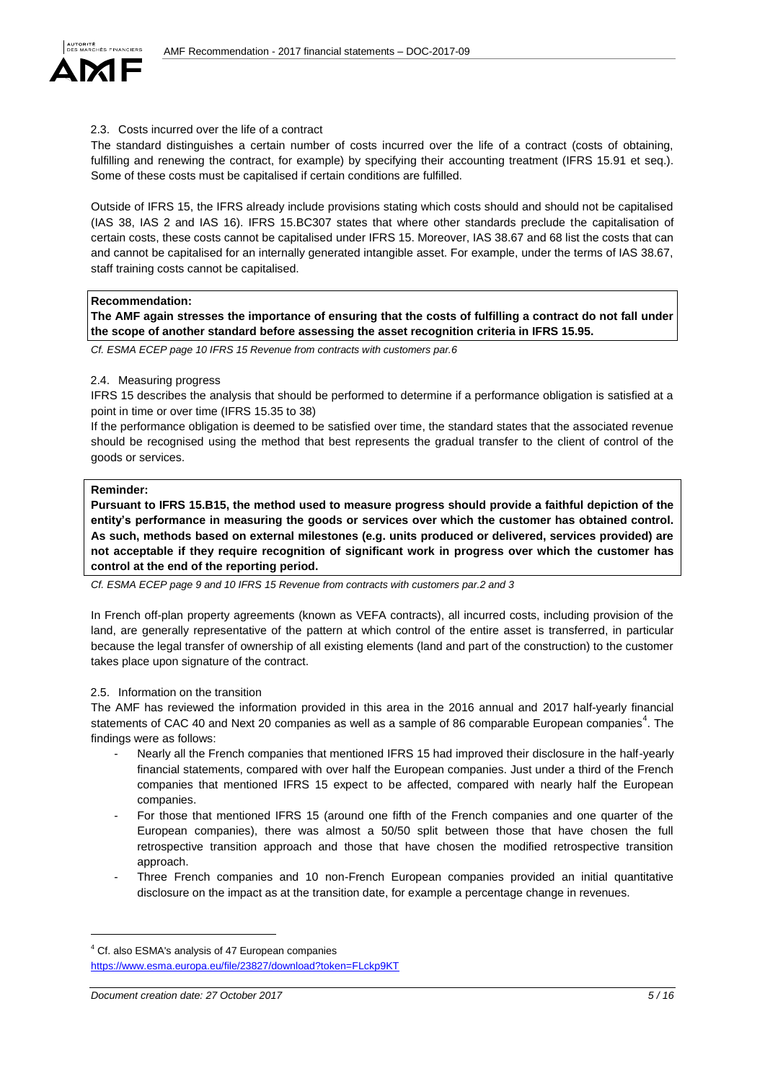

## <span id="page-4-0"></span>2.3. Costs incurred over the life of a contract

The standard distinguishes a certain number of costs incurred over the life of a contract (costs of obtaining, fulfilling and renewing the contract, for example) by specifying their accounting treatment (IFRS 15.91 et seq.). Some of these costs must be capitalised if certain conditions are fulfilled.

Outside of IFRS 15, the IFRS already include provisions stating which costs should and should not be capitalised (IAS 38, IAS 2 and IAS 16). IFRS 15.BC307 states that where other standards preclude the capitalisation of certain costs, these costs cannot be capitalised under IFRS 15. Moreover, IAS 38.67 and 68 list the costs that can and cannot be capitalised for an internally generated intangible asset. For example, under the terms of IAS 38.67, staff training costs cannot be capitalised.

## **Recommendation:**

**The AMF again stresses the importance of ensuring that the costs of fulfilling a contract do not fall under the scope of another standard before assessing the asset recognition criteria in IFRS 15.95.** 

*Cf. ESMA ECEP page 10 IFRS 15 Revenue from contracts with customers par.6*

### <span id="page-4-1"></span>2.4. Measuring progress

IFRS 15 describes the analysis that should be performed to determine if a performance obligation is satisfied at a point in time or over time (IFRS 15.35 to 38)

If the performance obligation is deemed to be satisfied over time, the standard states that the associated revenue should be recognised using the method that best represents the gradual transfer to the client of control of the goods or services.

#### **Reminder:**

**Pursuant to IFRS 15.B15, the method used to measure progress should provide a faithful depiction of the entity's performance in measuring the goods or services over which the customer has obtained control. As such, methods based on external milestones (e.g. units produced or delivered, services provided) are not acceptable if they require recognition of significant work in progress over which the customer has control at the end of the reporting period.**

*Cf. ESMA ECEP page 9 and 10 IFRS 15 Revenue from contracts with customers par.2 and 3*

In French off-plan property agreements (known as VEFA contracts), all incurred costs, including provision of the land, are generally representative of the pattern at which control of the entire asset is transferred, in particular because the legal transfer of ownership of all existing elements (land and part of the construction) to the customer takes place upon signature of the contract.

## <span id="page-4-2"></span>2.5. Information on the transition

The AMF has reviewed the information provided in this area in the 2016 annual and 2017 half-yearly financial statements of CAC 40 and Next 20 companies as well as a sample of 86 comparable European companies<sup>4</sup>. The findings were as follows:

- Nearly all the French companies that mentioned IFRS 15 had improved their disclosure in the half-yearly financial statements, compared with over half the European companies. Just under a third of the French companies that mentioned IFRS 15 expect to be affected, compared with nearly half the European companies.
- For those that mentioned IFRS 15 (around one fifth of the French companies and one quarter of the European companies), there was almost a 50/50 split between those that have chosen the full retrospective transition approach and those that have chosen the modified retrospective transition approach.
- Three French companies and 10 non-French European companies provided an initial quantitative disclosure on the impact as at the transition date, for example a percentage change in revenues.

**.** 

<sup>4</sup> Cf. also ESMA's analysis of 47 European companies

<https://www.esma.europa.eu/file/23827/download?token=FLckp9KT>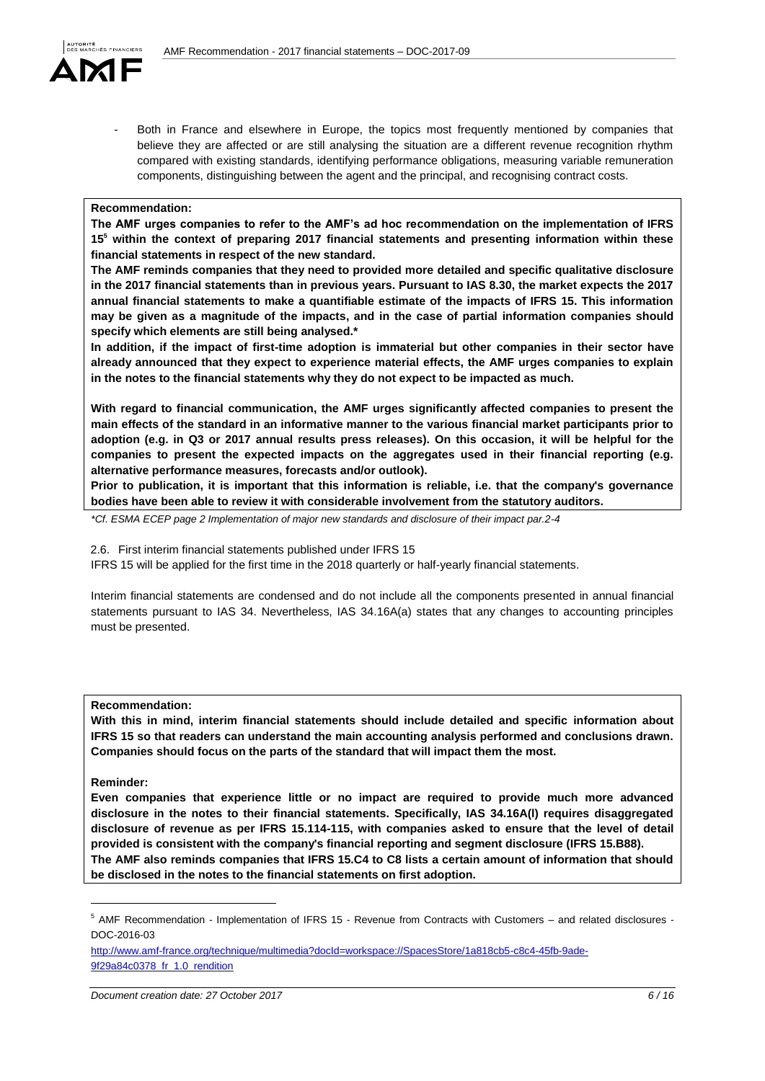

- Both in France and elsewhere in Europe, the topics most frequently mentioned by companies that believe they are affected or are still analysing the situation are a different revenue recognition rhythm compared with existing standards, identifying performance obligations, measuring variable remuneration components, distinguishing between the agent and the principal, and recognising contract costs.

### **Recommendation:**

**The AMF urges companies to refer to the AMF's ad hoc recommendation on the implementation of IFRS 15<sup>5</sup> within the context of preparing 2017 financial statements and presenting information within these financial statements in respect of the new standard.** 

**The AMF reminds companies that they need to provided more detailed and specific qualitative disclosure in the 2017 financial statements than in previous years. Pursuant to IAS 8.30, the market expects the 2017 annual financial statements to make a quantifiable estimate of the impacts of IFRS 15. This information may be given as a magnitude of the impacts, and in the case of partial information companies should specify which elements are still being analysed.\***

**In addition, if the impact of first-time adoption is immaterial but other companies in their sector have already announced that they expect to experience material effects, the AMF urges companies to explain in the notes to the financial statements why they do not expect to be impacted as much.**

**With regard to financial communication, the AMF urges significantly affected companies to present the main effects of the standard in an informative manner to the various financial market participants prior to adoption (e.g. in Q3 or 2017 annual results press releases). On this occasion, it will be helpful for the companies to present the expected impacts on the aggregates used in their financial reporting (e.g. alternative performance measures, forecasts and/or outlook).**

**Prior to publication, it is important that this information is reliable, i.e. that the company's governance bodies have been able to review it with considerable involvement from the statutory auditors.**

*\*Cf. ESMA ECEP page 2 Implementation of major new standards and disclosure of their impact par.2-4*

<span id="page-5-0"></span>2.6. First interim financial statements published under IFRS 15

IFRS 15 will be applied for the first time in the 2018 quarterly or half-yearly financial statements.

Interim financial statements are condensed and do not include all the components presented in annual financial statements pursuant to IAS 34. Nevertheless, IAS 34.16A(a) states that any changes to accounting principles must be presented.

#### **Recommendation:**

**With this in mind, interim financial statements should include detailed and specific information about IFRS 15 so that readers can understand the main accounting analysis performed and conclusions drawn. Companies should focus on the parts of the standard that will impact them the most.**

**Reminder:**

**.** 

**Even companies that experience little or no impact are required to provide much more advanced disclosure in the notes to their financial statements. Specifically, IAS 34.16A(l) requires disaggregated disclosure of revenue as per IFRS 15.114-115, with companies asked to ensure that the level of detail provided is consistent with the company's financial reporting and segment disclosure (IFRS 15.B88). The AMF also reminds companies that IFRS 15.C4 to C8 lists a certain amount of information that should be disclosed in the notes to the financial statements on first adoption.**

<sup>5</sup> AMF Recommendation - Implementation of IFRS 15 - Revenue from Contracts with Customers – and related disclosures - DOC-2016-03

[http://www.amf-france.org/technique/multimedia?docId=workspace://SpacesStore/1a818cb5-c8c4-45fb-9ade-](http://www.amf-france.org/technique/multimedia?docId=workspace://SpacesStore/1a818cb5-c8c4-45fb-9ade-9f29a84c0378_fr_1.0_rendition)[9f29a84c0378\\_fr\\_1.0\\_rendition](http://www.amf-france.org/technique/multimedia?docId=workspace://SpacesStore/1a818cb5-c8c4-45fb-9ade-9f29a84c0378_fr_1.0_rendition)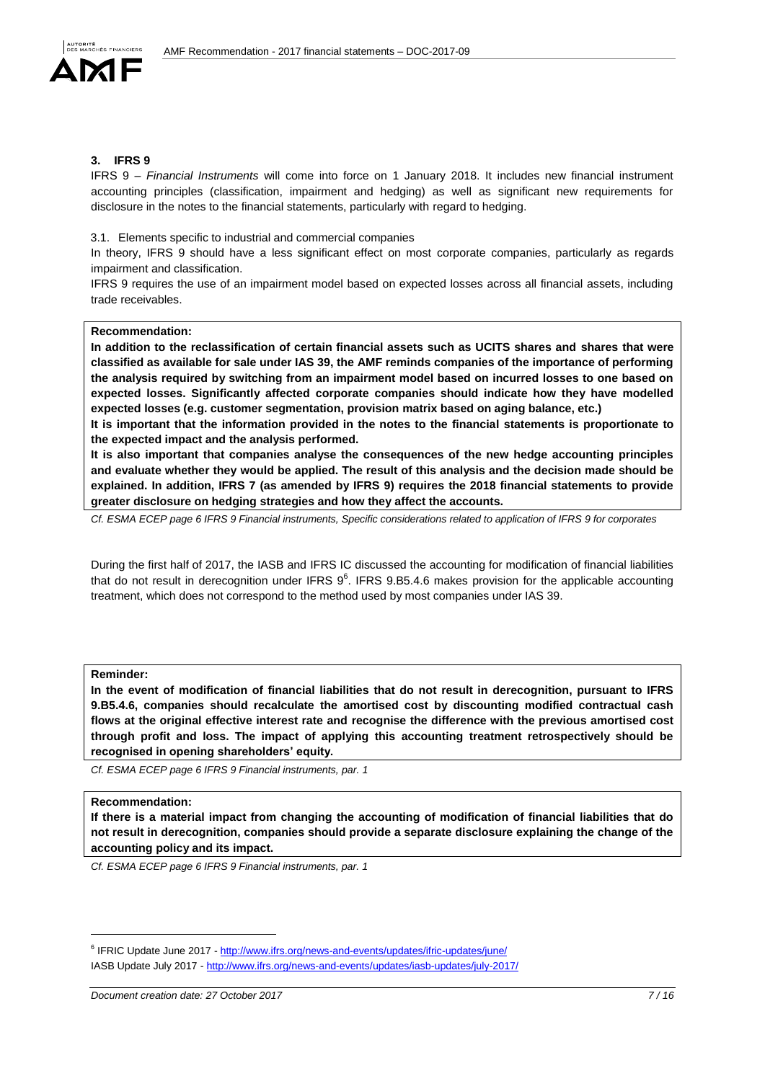## <span id="page-6-0"></span>**3. IFRS 9**

IFRS 9 – *Financial Instruments* will come into force on 1 January 2018. It includes new financial instrument accounting principles (classification, impairment and hedging) as well as significant new requirements for disclosure in the notes to the financial statements, particularly with regard to hedging.

<span id="page-6-1"></span>3.1. Elements specific to industrial and commercial companies

In theory, IFRS 9 should have a less significant effect on most corporate companies, particularly as regards impairment and classification.

IFRS 9 requires the use of an impairment model based on expected losses across all financial assets, including trade receivables.

## **Recommendation:**

**In addition to the reclassification of certain financial assets such as UCITS shares and shares that were classified as available for sale under IAS 39, the AMF reminds companies of the importance of performing the analysis required by switching from an impairment model based on incurred losses to one based on expected losses. Significantly affected corporate companies should indicate how they have modelled expected losses (e.g. customer segmentation, provision matrix based on aging balance, etc.)**

**It is important that the information provided in the notes to the financial statements is proportionate to the expected impact and the analysis performed.**

**It is also important that companies analyse the consequences of the new hedge accounting principles and evaluate whether they would be applied. The result of this analysis and the decision made should be explained. In addition, IFRS 7 (as amended by IFRS 9) requires the 2018 financial statements to provide greater disclosure on hedging strategies and how they affect the accounts.** 

*Cf. ESMA ECEP page 6 IFRS 9 Financial instruments, Specific considerations related to application of IFRS 9 for corporates*

During the first half of 2017, the IASB and IFRS IC discussed the accounting for modification of financial liabilities that do not result in derecognition under IFRS  $9^6$ . IFRS 9.B5.4.6 makes provision for the applicable accounting treatment, which does not correspond to the method used by most companies under IAS 39.

#### **Reminder:**

**In the event of modification of financial liabilities that do not result in derecognition, pursuant to IFRS 9.B5.4.6, companies should recalculate the amortised cost by discounting modified contractual cash flows at the original effective interest rate and recognise the difference with the previous amortised cost through profit and loss. The impact of applying this accounting treatment retrospectively should be recognised in opening shareholders' equity.** 

*Cf. ESMA ECEP page 6 IFRS 9 Financial instruments, par. 1*

#### **Recommendation:**

**.** 

**If there is a material impact from changing the accounting of modification of financial liabilities that do not result in derecognition, companies should provide a separate disclosure explaining the change of the accounting policy and its impact.**

*Cf. ESMA ECEP page 6 IFRS 9 Financial instruments, par. 1*

<sup>&</sup>lt;sup>6</sup> IFRIC Update June 2017 - <http://www.ifrs.org/news-and-events/updates/ifric-updates/june/>

IASB Update July 2017 - <http://www.ifrs.org/news-and-events/updates/iasb-updates/july-2017/>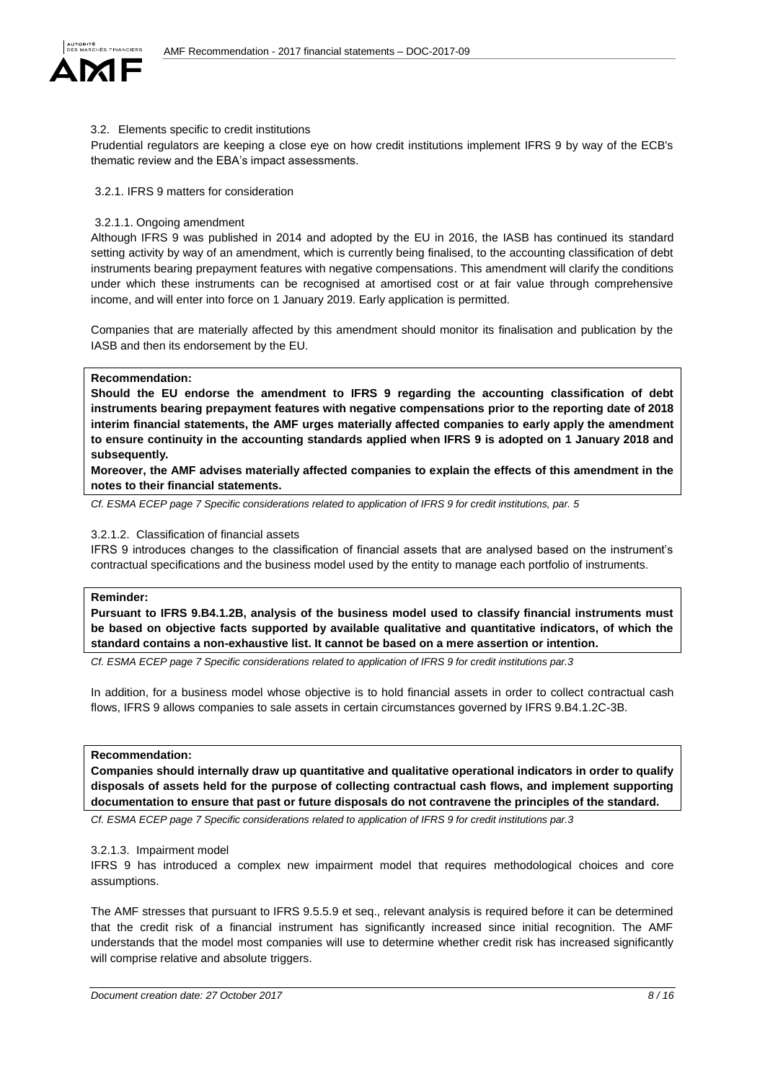

#### <span id="page-7-0"></span>3.2. Elements specific to credit institutions

Prudential regulators are keeping a close eye on how credit institutions implement IFRS 9 by way of the ECB's thematic review and the EBA's impact assessments.

### <span id="page-7-1"></span>3.2.1. IFRS 9 matters for consideration

### 3.2.1.1. Ongoing amendment

Although IFRS 9 was published in 2014 and adopted by the EU in 2016, the IASB has continued its standard setting activity by way of an amendment, which is currently being finalised, to the accounting classification of debt instruments bearing prepayment features with negative compensations. This amendment will clarify the conditions under which these instruments can be recognised at amortised cost or at fair value through comprehensive income, and will enter into force on 1 January 2019. Early application is permitted.

Companies that are materially affected by this amendment should monitor its finalisation and publication by the IASB and then its endorsement by the EU.

### **Recommendation:**

**Should the EU endorse the amendment to IFRS 9 regarding the accounting classification of debt instruments bearing prepayment features with negative compensations prior to the reporting date of 2018 interim financial statements, the AMF urges materially affected companies to early apply the amendment to ensure continuity in the accounting standards applied when IFRS 9 is adopted on 1 January 2018 and subsequently.** 

**Moreover, the AMF advises materially affected companies to explain the effects of this amendment in the notes to their financial statements.**

*Cf. ESMA ECEP page 7 Specific considerations related to application of IFRS 9 for credit institutions, par. 5*

### 3.2.1.2. Classification of financial assets

IFRS 9 introduces changes to the classification of financial assets that are analysed based on the instrument's contractual specifications and the business model used by the entity to manage each portfolio of instruments.

#### **Reminder:**

**Pursuant to IFRS 9.B4.1.2B, analysis of the business model used to classify financial instruments must be based on objective facts supported by available qualitative and quantitative indicators, of which the standard contains a non-exhaustive list. It cannot be based on a mere assertion or intention.** 

*Cf. ESMA ECEP page 7 Specific considerations related to application of IFRS 9 for credit institutions par.3*

In addition, for a business model whose objective is to hold financial assets in order to collect contractual cash flows, IFRS 9 allows companies to sale assets in certain circumstances governed by IFRS 9.B4.1.2C-3B.

#### **Recommendation:**

**Companies should internally draw up quantitative and qualitative operational indicators in order to qualify disposals of assets held for the purpose of collecting contractual cash flows, and implement supporting documentation to ensure that past or future disposals do not contravene the principles of the standard.**

*Cf. ESMA ECEP page 7 Specific considerations related to application of IFRS 9 for credit institutions par.3*

#### 3.2.1.3. Impairment model

IFRS 9 has introduced a complex new impairment model that requires methodological choices and core assumptions.

The AMF stresses that pursuant to IFRS 9.5.5.9 et seq., relevant analysis is required before it can be determined that the credit risk of a financial instrument has significantly increased since initial recognition. The AMF understands that the model most companies will use to determine whether credit risk has increased significantly will comprise relative and absolute triggers.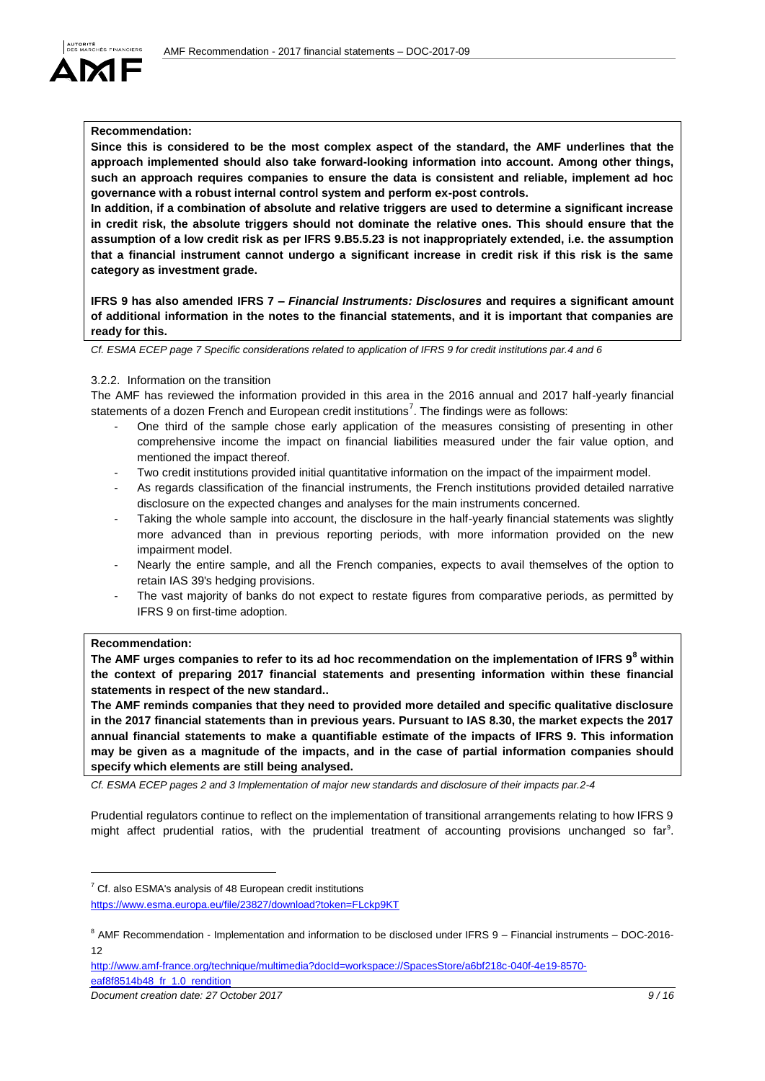## **Recommendation:**

**Since this is considered to be the most complex aspect of the standard, the AMF underlines that the approach implemented should also take forward-looking information into account. Among other things, such an approach requires companies to ensure the data is consistent and reliable, implement ad hoc governance with a robust internal control system and perform ex-post controls.** 

**In addition, if a combination of absolute and relative triggers are used to determine a significant increase in credit risk, the absolute triggers should not dominate the relative ones. This should ensure that the assumption of a low credit risk as per IFRS 9.B5.5.23 is not inappropriately extended, i.e. the assumption that a financial instrument cannot undergo a significant increase in credit risk if this risk is the same category as investment grade.** 

**IFRS 9 has also amended IFRS 7 –** *Financial Instruments: Disclosures* **and requires a significant amount of additional information in the notes to the financial statements, and it is important that companies are ready for this.**

*Cf. ESMA ECEP page 7 Specific considerations related to application of IFRS 9 for credit institutions par.4 and 6*

## <span id="page-8-0"></span>3.2.2. Information on the transition

The AMF has reviewed the information provided in this area in the 2016 annual and 2017 half-yearly financial statements of a dozen French and European credit institutions<sup>7</sup>. The findings were as follows:

- One third of the sample chose early application of the measures consisting of presenting in other comprehensive income the impact on financial liabilities measured under the fair value option, and mentioned the impact thereof.
- Two credit institutions provided initial quantitative information on the impact of the impairment model.
- As regards classification of the financial instruments, the French institutions provided detailed narrative disclosure on the expected changes and analyses for the main instruments concerned.
- Taking the whole sample into account, the disclosure in the half-yearly financial statements was slightly more advanced than in previous reporting periods, with more information provided on the new impairment model.
- Nearly the entire sample, and all the French companies, expects to avail themselves of the option to retain IAS 39's hedging provisions.
- The vast majority of banks do not expect to restate figures from comparative periods, as permitted by IFRS 9 on first-time adoption.

## **Recommendation:**

**.** 

**The AMF urges companies to refer to its ad hoc recommendation on the implementation of IFRS 9<sup>8</sup> within the context of preparing 2017 financial statements and presenting information within these financial statements in respect of the new standard..**

**The AMF reminds companies that they need to provided more detailed and specific qualitative disclosure in the 2017 financial statements than in previous years. Pursuant to IAS 8.30, the market expects the 2017 annual financial statements to make a quantifiable estimate of the impacts of IFRS 9. This information may be given as a magnitude of the impacts, and in the case of partial information companies should specify which elements are still being analysed.**

*Cf. ESMA ECEP pages 2 and 3 Implementation of major new standards and disclosure of their impacts par.2-4*

Prudential regulators continue to reflect on the implementation of transitional arrangements relating to how IFRS 9 might affect prudential ratios, with the prudential treatment of accounting provisions unchanged so far<sup>9</sup>.

[http://www.amf-france.org/technique/multimedia?docId=workspace://SpacesStore/a6bf218c-040f-4e19-8570](http://www.amf-france.org/technique/multimedia?docId=workspace://SpacesStore/a6bf218c-040f-4e19-8570-eaf8f8514b48_fr_1.0_rendition) [eaf8f8514b48\\_fr\\_1.0\\_rendition](http://www.amf-france.org/technique/multimedia?docId=workspace://SpacesStore/a6bf218c-040f-4e19-8570-eaf8f8514b48_fr_1.0_rendition)

 $7$  Cf. also ESMA's analysis of 48 European credit institutions

<https://www.esma.europa.eu/file/23827/download?token=FLckp9KT>

 $8$  AMF Recommendation - Implementation and information to be disclosed under IFRS  $9$  – Financial instruments – DOC-2016-12

*Document creation date: 27 October 2017 9 / 16*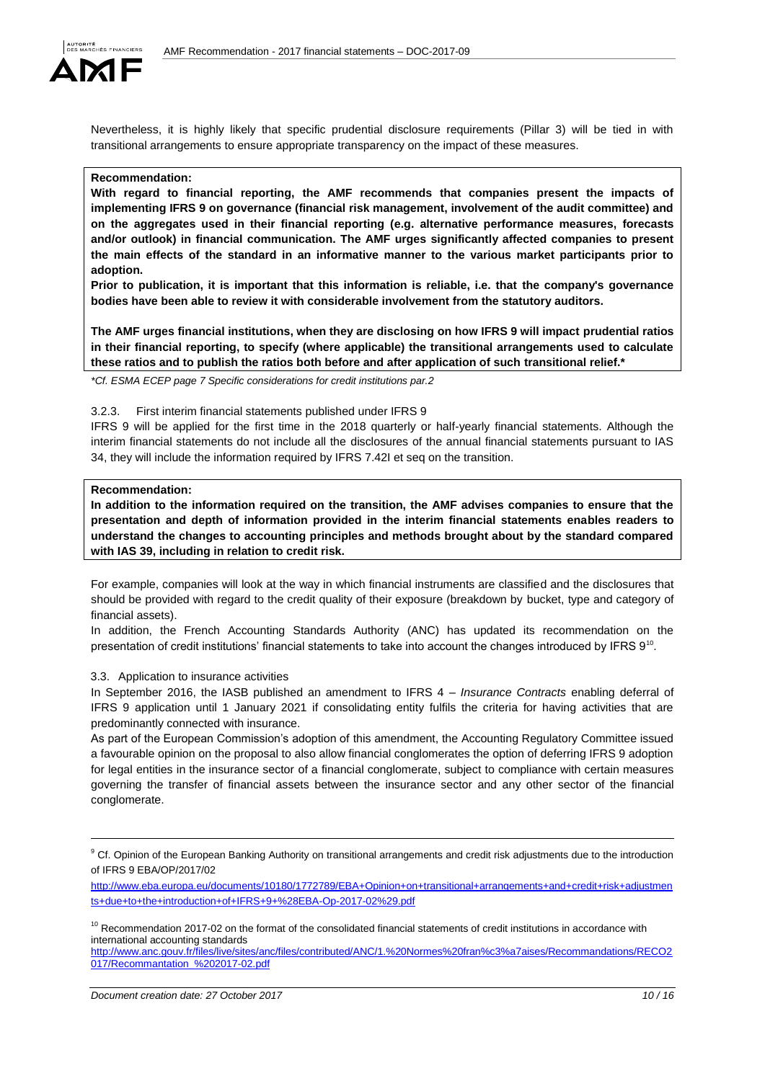

Nevertheless, it is highly likely that specific prudential disclosure requirements (Pillar 3) will be tied in with transitional arrangements to ensure appropriate transparency on the impact of these measures.

#### **Recommendation:**

**With regard to financial reporting, the AMF recommends that companies present the impacts of implementing IFRS 9 on governance (financial risk management, involvement of the audit committee) and on the aggregates used in their financial reporting (e.g. alternative performance measures, forecasts and/or outlook) in financial communication. The AMF urges significantly affected companies to present the main effects of the standard in an informative manner to the various market participants prior to adoption.** 

**Prior to publication, it is important that this information is reliable, i.e. that the company's governance bodies have been able to review it with considerable involvement from the statutory auditors.**

**The AMF urges financial institutions, when they are disclosing on how IFRS 9 will impact prudential ratios in their financial reporting, to specify (where applicable) the transitional arrangements used to calculate these ratios and to publish the ratios both before and after application of such transitional relief.\*** 

*\*Cf. ESMA ECEP page 7 Specific considerations for credit institutions par.2*

<span id="page-9-0"></span>3.2.3. First interim financial statements published under IFRS 9

IFRS 9 will be applied for the first time in the 2018 quarterly or half-yearly financial statements. Although the interim financial statements do not include all the disclosures of the annual financial statements pursuant to IAS 34, they will include the information required by IFRS 7.42I et seq on the transition.

### **Recommendation:**

**.** 

**In addition to the information required on the transition, the AMF advises companies to ensure that the presentation and depth of information provided in the interim financial statements enables readers to understand the changes to accounting principles and methods brought about by the standard compared with IAS 39, including in relation to credit risk.** 

For example, companies will look at the way in which financial instruments are classified and the disclosures that should be provided with regard to the credit quality of their exposure (breakdown by bucket, type and category of financial assets).

In addition, the French Accounting Standards Authority (ANC) has updated its recommendation on the presentation of credit institutions' financial statements to take into account the changes introduced by IFRS  $9^{10}$ .

#### <span id="page-9-1"></span>3.3. Application to insurance activities

In September 2016, the IASB published an amendment to IFRS 4 – *Insurance Contracts* enabling deferral of IFRS 9 application until 1 January 2021 if consolidating entity fulfils the criteria for having activities that are predominantly connected with insurance.

As part of the European Commission's adoption of this amendment, the Accounting Regulatory Committee issued a favourable opinion on the proposal to also allow financial conglomerates the option of deferring IFRS 9 adoption for legal entities in the insurance sector of a financial conglomerate, subject to compliance with certain measures governing the transfer of financial assets between the insurance sector and any other sector of the financial conglomerate.

[http://www.eba.europa.eu/documents/10180/1772789/EBA+Opinion+on+transitional+arrangements+and+credit+risk+adjustmen](http://www.eba.europa.eu/documents/10180/1772789/EBA+Opinion+on+transitional+arrangements+and+credit+risk+adjustments+due+to+the+introduction+of+IFRS+9+(EBA-Op-2017-02).pdf) [ts+due+to+the+introduction+of+IFRS+9+%28EBA-Op-2017-02%29.pdf](http://www.eba.europa.eu/documents/10180/1772789/EBA+Opinion+on+transitional+arrangements+and+credit+risk+adjustments+due+to+the+introduction+of+IFRS+9+(EBA-Op-2017-02).pdf)

[http://www.anc.gouv.fr/files/live/sites/anc/files/contributed/ANC/1.%20Normes%20fran%c3%a7aises/Recommandations/RECO2](http://www.anc.gouv.fr/files/live/sites/anc/files/contributed/ANC/1.%20Normes%20françaises/Recommandations/RECO2017/Recommantation_%202017-02.pdf) [017/Recommantation\\_%202017-02.pdf](http://www.anc.gouv.fr/files/live/sites/anc/files/contributed/ANC/1.%20Normes%20françaises/Recommandations/RECO2017/Recommantation_%202017-02.pdf)

<sup>&</sup>lt;sup>9</sup> Cf. Opinion of the European Banking Authority on transitional arrangements and credit risk adjustments due to the introduction of IFRS 9 EBA/OP/2017/02

 $10$  Recommendation 2017-02 on the format of the consolidated financial statements of credit institutions in accordance with international accounting standards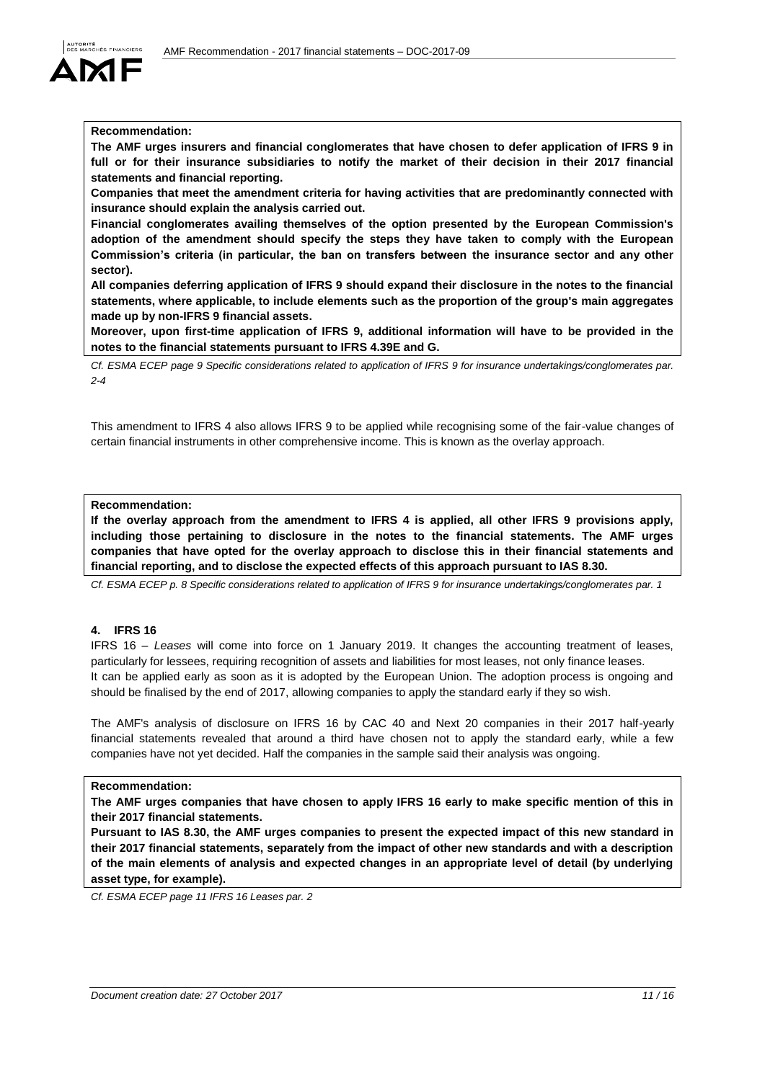### **Recommendation:**

**The AMF urges insurers and financial conglomerates that have chosen to defer application of IFRS 9 in full or for their insurance subsidiaries to notify the market of their decision in their 2017 financial statements and financial reporting.** 

**Companies that meet the amendment criteria for having activities that are predominantly connected with insurance should explain the analysis carried out.** 

**Financial conglomerates availing themselves of the option presented by the European Commission's adoption of the amendment should specify the steps they have taken to comply with the European Commission's criteria (in particular, the ban on transfers between the insurance sector and any other sector).**

**All companies deferring application of IFRS 9 should expand their disclosure in the notes to the financial statements, where applicable, to include elements such as the proportion of the group's main aggregates made up by non-IFRS 9 financial assets.** 

**Moreover, upon first-time application of IFRS 9, additional information will have to be provided in the notes to the financial statements pursuant to IFRS 4.39E and G.**

*Cf. ESMA ECEP page 9 Specific considerations related to application of IFRS 9 for insurance undertakings/conglomerates par. 2-4*

This amendment to IFRS 4 also allows IFRS 9 to be applied while recognising some of the fair-value changes of certain financial instruments in other comprehensive income. This is known as the overlay approach.

### **Recommendation:**

**If the overlay approach from the amendment to IFRS 4 is applied, all other IFRS 9 provisions apply, including those pertaining to disclosure in the notes to the financial statements. The AMF urges companies that have opted for the overlay approach to disclose this in their financial statements and financial reporting, and to disclose the expected effects of this approach pursuant to IAS 8.30.**

*Cf. ESMA ECEP p. 8 Specific considerations related to application of IFRS 9 for insurance undertakings/conglomerates par. 1*

## <span id="page-10-0"></span>**4. IFRS 16**

IFRS 16 – *Leases* will come into force on 1 January 2019. It changes the accounting treatment of leases, particularly for lessees, requiring recognition of assets and liabilities for most leases, not only finance leases. It can be applied early as soon as it is adopted by the European Union. The adoption process is ongoing and should be finalised by the end of 2017, allowing companies to apply the standard early if they so wish.

The AMF's analysis of disclosure on IFRS 16 by CAC 40 and Next 20 companies in their 2017 half-yearly financial statements revealed that around a third have chosen not to apply the standard early, while a few companies have not yet decided. Half the companies in the sample said their analysis was ongoing.

#### **Recommendation:**

**The AMF urges companies that have chosen to apply IFRS 16 early to make specific mention of this in their 2017 financial statements.**

**Pursuant to IAS 8.30, the AMF urges companies to present the expected impact of this new standard in their 2017 financial statements, separately from the impact of other new standards and with a description of the main elements of analysis and expected changes in an appropriate level of detail (by underlying asset type, for example).**

*Cf. ESMA ECEP page 11 IFRS 16 Leases par. 2*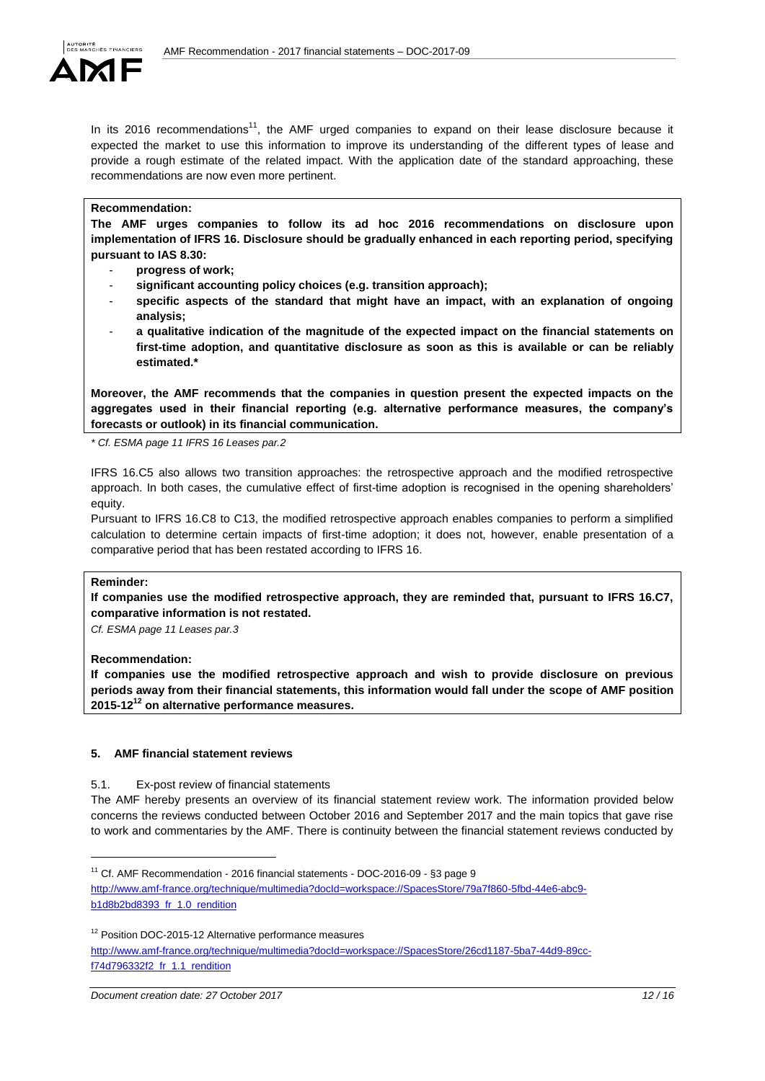

In its 2016 recommendations<sup>11</sup>, the AMF urged companies to expand on their lease disclosure because it expected the market to use this information to improve its understanding of the different types of lease and provide a rough estimate of the related impact. With the application date of the standard approaching, these recommendations are now even more pertinent.

## **Recommendation:**

**The AMF urges companies to follow its ad hoc 2016 recommendations on disclosure upon implementation of IFRS 16. Disclosure should be gradually enhanced in each reporting period, specifying pursuant to IAS 8.30:**

- **progress of work;**
- **significant accounting policy choices (e.g. transition approach);**
- specific aspects of the standard that might have an impact, with an explanation of ongoing **analysis;**
- **a qualitative indication of the magnitude of the expected impact on the financial statements on first-time adoption, and quantitative disclosure as soon as this is available or can be reliably estimated.\***

**Moreover, the AMF recommends that the companies in question present the expected impacts on the aggregates used in their financial reporting (e.g. alternative performance measures, the company's forecasts or outlook) in its financial communication.**

*\* Cf. ESMA page 11 IFRS 16 Leases par.2*

IFRS 16.C5 also allows two transition approaches: the retrospective approach and the modified retrospective approach. In both cases, the cumulative effect of first-time adoption is recognised in the opening shareholders' equity.

Pursuant to IFRS 16.C8 to C13, the modified retrospective approach enables companies to perform a simplified calculation to determine certain impacts of first-time adoption; it does not, however, enable presentation of a comparative period that has been restated according to IFRS 16.

## **Reminder:**

**.** 

**If companies use the modified retrospective approach, they are reminded that, pursuant to IFRS 16.C7, comparative information is not restated.**

*Cf. ESMA page 11 Leases par.3*

**Recommendation:**

**If companies use the modified retrospective approach and wish to provide disclosure on previous periods away from their financial statements, this information would fall under the scope of AMF position 2015-12<sup>12</sup> on alternative performance measures.** 

## <span id="page-11-0"></span>**5. AMF financial statement reviews**

## <span id="page-11-1"></span>5.1. Ex-post review of financial statements

The AMF hereby presents an overview of its financial statement review work. The information provided below concerns the reviews conducted between October 2016 and September 2017 and the main topics that gave rise to work and commentaries by the AMF. There is continuity between the financial statement reviews conducted by

[http://www.amf-france.org/technique/multimedia?docId=workspace://SpacesStore/26cd1187-5ba7-44d9-89cc](http://www.amf-france.org/technique/multimedia?docId=workspace://SpacesStore/26cd1187-5ba7-44d9-89cc-f74d796332f2_fr_1.1_rendition)[f74d796332f2\\_fr\\_1.1\\_rendition](http://www.amf-france.org/technique/multimedia?docId=workspace://SpacesStore/26cd1187-5ba7-44d9-89cc-f74d796332f2_fr_1.1_rendition)

<sup>&</sup>lt;sup>11</sup> Cf. AMF Recommendation - 2016 financial statements - DOC-2016-09 - §3 page 9 [http://www.amf-france.org/technique/multimedia?docId=workspace://SpacesStore/79a7f860-5fbd-44e6-abc9](http://www.amf-france.org/technique/multimedia?docId=workspace://SpacesStore/79a7f860-5fbd-44e6-abc9-b1d8b2bd8393_fr_1.0_rendition) [b1d8b2bd8393\\_fr\\_1.0\\_rendition](http://www.amf-france.org/technique/multimedia?docId=workspace://SpacesStore/79a7f860-5fbd-44e6-abc9-b1d8b2bd8393_fr_1.0_rendition)

<sup>&</sup>lt;sup>12</sup> Position DOC-2015-12 Alternative performance measures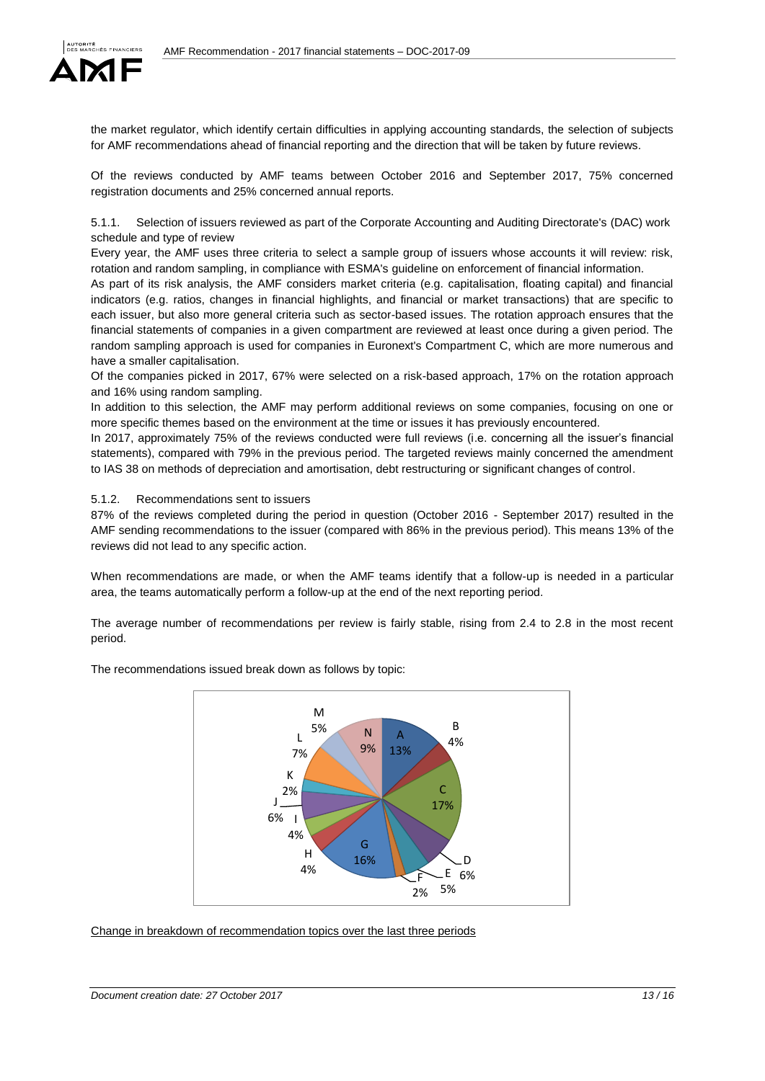

the market regulator, which identify certain difficulties in applying accounting standards, the selection of subjects for AMF recommendations ahead of financial reporting and the direction that will be taken by future reviews.

Of the reviews conducted by AMF teams between October 2016 and September 2017, 75% concerned registration documents and 25% concerned annual reports.

<span id="page-12-0"></span>5.1.1. Selection of issuers reviewed as part of the Corporate Accounting and Auditing Directorate's (DAC) work schedule and type of review

Every year, the AMF uses three criteria to select a sample group of issuers whose accounts it will review: risk, rotation and random sampling, in compliance with ESMA's guideline on enforcement of financial information.

As part of its risk analysis, the AMF considers market criteria (e.g. capitalisation, floating capital) and financial indicators (e.g. ratios, changes in financial highlights, and financial or market transactions) that are specific to each issuer, but also more general criteria such as sector-based issues. The rotation approach ensures that the financial statements of companies in a given compartment are reviewed at least once during a given period. The random sampling approach is used for companies in Euronext's Compartment C, which are more numerous and have a smaller capitalisation.

Of the companies picked in 2017, 67% were selected on a risk-based approach, 17% on the rotation approach and 16% using random sampling.

In addition to this selection, the AMF may perform additional reviews on some companies, focusing on one or more specific themes based on the environment at the time or issues it has previously encountered.

In 2017, approximately 75% of the reviews conducted were full reviews (i.e. concerning all the issuer's financial statements), compared with 79% in the previous period. The targeted reviews mainly concerned the amendment to IAS 38 on methods of depreciation and amortisation, debt restructuring or significant changes of control.

### <span id="page-12-1"></span>5.1.2. Recommendations sent to issuers

87% of the reviews completed during the period in question (October 2016 - September 2017) resulted in the AMF sending recommendations to the issuer (compared with 86% in the previous period). This means 13% of the reviews did not lead to any specific action.

When recommendations are made, or when the AMF teams identify that a follow-up is needed in a particular area, the teams automatically perform a follow-up at the end of the next reporting period.

The average number of recommendations per review is fairly stable, rising from 2.4 to 2.8 in the most recent period.



The recommendations issued break down as follows by topic:

Change in breakdown of recommendation topics over the last three periods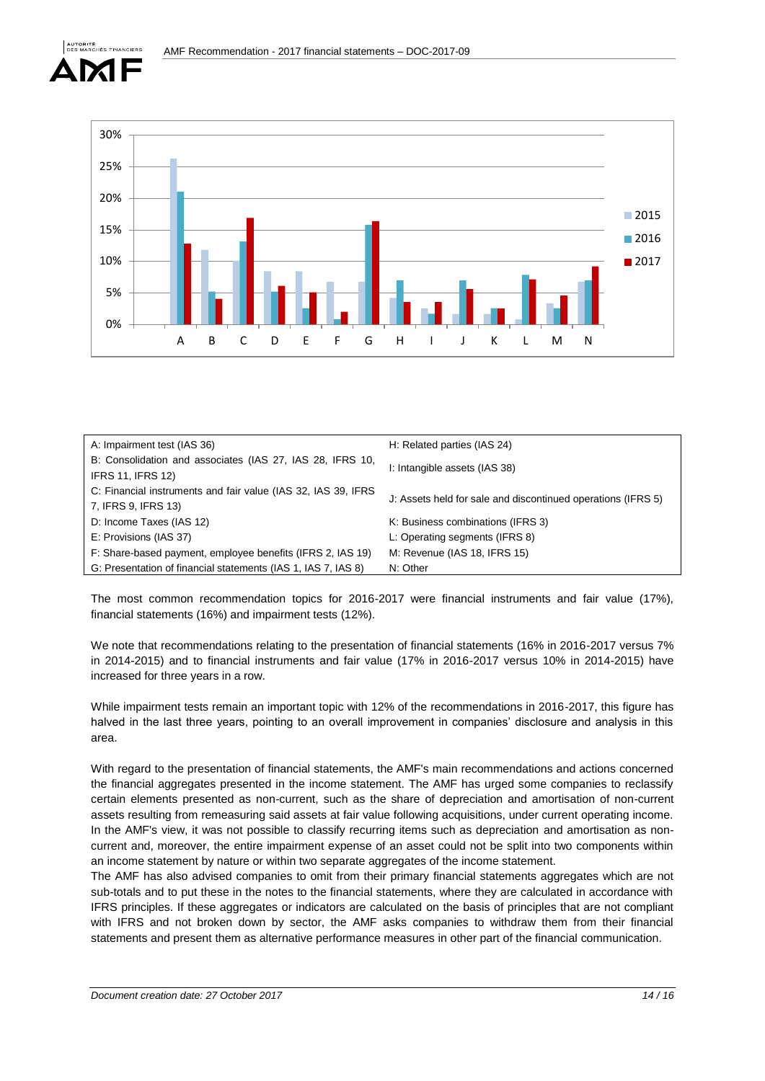



| A: Impairment test (IAS 36)                                                           | H: Related parties (IAS 24)                                  |  |
|---------------------------------------------------------------------------------------|--------------------------------------------------------------|--|
| B: Consolidation and associates (IAS 27, IAS 28, IFRS 10,<br><b>IFRS 11, IFRS 12)</b> | I: Intangible assets (IAS 38)                                |  |
| C: Financial instruments and fair value (IAS 32, IAS 39, IFRS<br>7, IFRS 9, IFRS 13)  | J: Assets held for sale and discontinued operations (IFRS 5) |  |
| D: Income Taxes (IAS 12)                                                              | K: Business combinations (IFRS 3)                            |  |
| E: Provisions (IAS 37)                                                                | L: Operating segments (IFRS 8)                               |  |
| F: Share-based payment, employee benefits (IFRS 2, IAS 19)                            | M: Revenue (IAS 18, IFRS 15)                                 |  |
| G: Presentation of financial statements (IAS 1, IAS 7, IAS 8)                         | N: Other                                                     |  |

The most common recommendation topics for 2016-2017 were financial instruments and fair value (17%), financial statements (16%) and impairment tests (12%).

We note that recommendations relating to the presentation of financial statements (16% in 2016-2017 versus 7%) in 2014-2015) and to financial instruments and fair value (17% in 2016-2017 versus 10% in 2014-2015) have increased for three years in a row.

While impairment tests remain an important topic with 12% of the recommendations in 2016-2017, this figure has halved in the last three years, pointing to an overall improvement in companies' disclosure and analysis in this area.

With regard to the presentation of financial statements, the AMF's main recommendations and actions concerned the financial aggregates presented in the income statement. The AMF has urged some companies to reclassify certain elements presented as non-current, such as the share of depreciation and amortisation of non-current assets resulting from remeasuring said assets at fair value following acquisitions, under current operating income. In the AMF's view, it was not possible to classify recurring items such as depreciation and amortisation as noncurrent and, moreover, the entire impairment expense of an asset could not be split into two components within an income statement by nature or within two separate aggregates of the income statement.

The AMF has also advised companies to omit from their primary financial statements aggregates which are not sub-totals and to put these in the notes to the financial statements, where they are calculated in accordance with IFRS principles. If these aggregates or indicators are calculated on the basis of principles that are not compliant with IFRS and not broken down by sector, the AMF asks companies to withdraw them from their financial statements and present them as alternative performance measures in other part of the financial communication.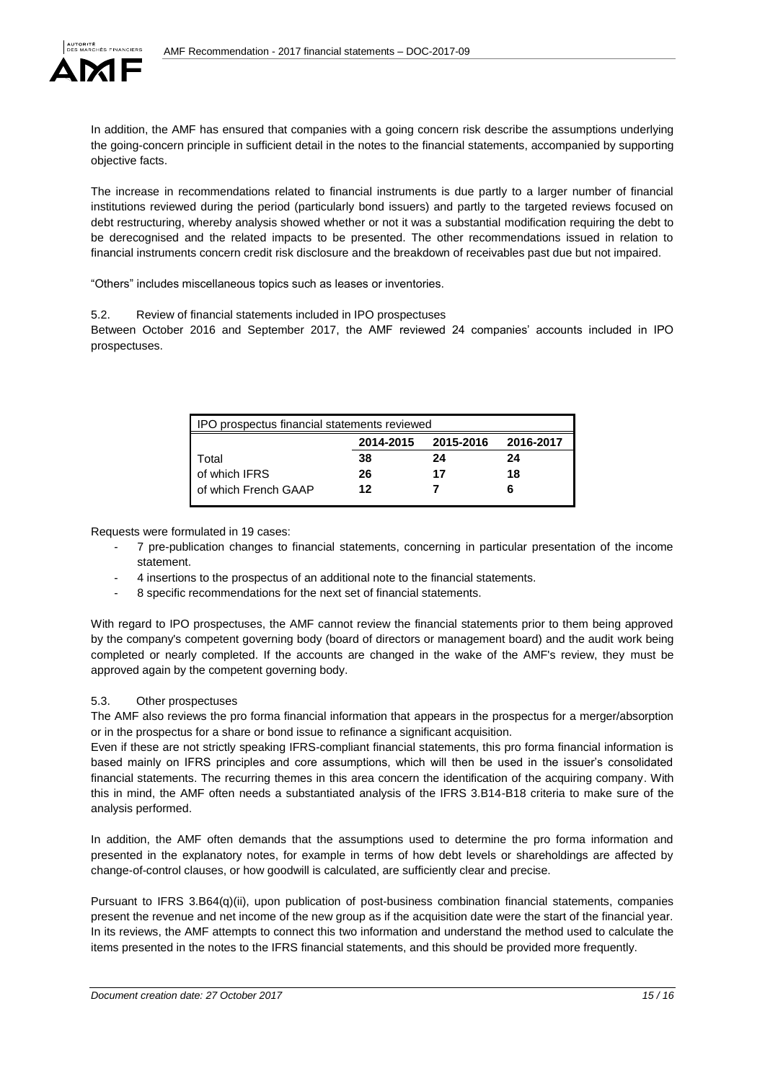

In addition, the AMF has ensured that companies with a going concern risk describe the assumptions underlying the going-concern principle in sufficient detail in the notes to the financial statements, accompanied by supporting objective facts.

The increase in recommendations related to financial instruments is due partly to a larger number of financial institutions reviewed during the period (particularly bond issuers) and partly to the targeted reviews focused on debt restructuring, whereby analysis showed whether or not it was a substantial modification requiring the debt to be derecognised and the related impacts to be presented. The other recommendations issued in relation to financial instruments concern credit risk disclosure and the breakdown of receivables past due but not impaired.

"Others" includes miscellaneous topics such as leases or inventories.

### <span id="page-14-0"></span>5.2. Review of financial statements included in IPO prospectuses

Between October 2016 and September 2017, the AMF reviewed 24 companies' accounts included in IPO prospectuses.

| IPO prospectus financial statements reviewed |           |           |  |  |  |
|----------------------------------------------|-----------|-----------|--|--|--|
| 2014-2015                                    | 2015-2016 | 2016-2017 |  |  |  |
| 38                                           | 24        | 24        |  |  |  |
| 26                                           | 17        | 18        |  |  |  |
| 12                                           |           | 6         |  |  |  |
|                                              |           |           |  |  |  |

Requests were formulated in 19 cases:

- 7 pre-publication changes to financial statements, concerning in particular presentation of the income statement.
- 4 insertions to the prospectus of an additional note to the financial statements.
- 8 specific recommendations for the next set of financial statements.

With regard to IPO prospectuses, the AMF cannot review the financial statements prior to them being approved by the company's competent governing body (board of directors or management board) and the audit work being completed or nearly completed. If the accounts are changed in the wake of the AMF's review, they must be approved again by the competent governing body.

## <span id="page-14-1"></span>5.3. Other prospectuses

The AMF also reviews the pro forma financial information that appears in the prospectus for a merger/absorption or in the prospectus for a share or bond issue to refinance a significant acquisition.

Even if these are not strictly speaking IFRS-compliant financial statements, this pro forma financial information is based mainly on IFRS principles and core assumptions, which will then be used in the issuer's consolidated financial statements. The recurring themes in this area concern the identification of the acquiring company. With this in mind, the AMF often needs a substantiated analysis of the IFRS 3.B14-B18 criteria to make sure of the analysis performed.

In addition, the AMF often demands that the assumptions used to determine the pro forma information and presented in the explanatory notes, for example in terms of how debt levels or shareholdings are affected by change-of-control clauses, or how goodwill is calculated, are sufficiently clear and precise.

Pursuant to IFRS 3.B64(q)(ii), upon publication of post-business combination financial statements, companies present the revenue and net income of the new group as if the acquisition date were the start of the financial year. In its reviews, the AMF attempts to connect this two information and understand the method used to calculate the items presented in the notes to the IFRS financial statements, and this should be provided more frequently.